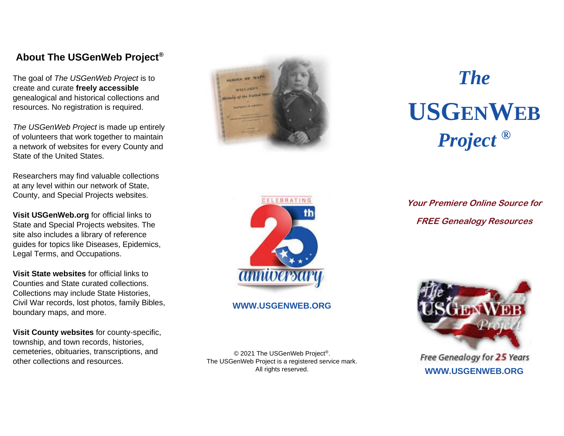## **About The USGenWeb Project®**

The goal of *The USGenWeb Project* is to create and curate **freely accessible** genealogical and historical collections and resources. No registration is required.

*The USGenWeb Project* is made up entirely of volunteers that work together to maintain a network of websites for every County and State of the United States.

Researchers may find valuable collections at any level within our network of State, County, and Special Projects websites.

**Visit USGenWeb.org** for official links to State and Special Projects websites. The site also includes a library of reference guides for topics like Diseases, Epidemics, Legal Terms, and Occupations.

**Visit State websites** for official links to Counties and State curated collections. Collections may include State Histories, Civil War records, lost photos, family Bibles, boundary maps, and more.

**Visit County websites** for county-specific, township, and town records, histories, cemeteries, obituaries, transcriptions, and other collections and resources.



# *The*  **USGENWEB** *Project* **®**



#### **WWW.USGENWEB.ORG**

© 2021 The USGenWeb Project®. The USGenWeb Project is a registered service mark. All rights reserved.

**Your Premiere Online Source for FREE Genealogy Resources**



Free Genealogy for 25 Years **WWW.USGENWEB.ORG**